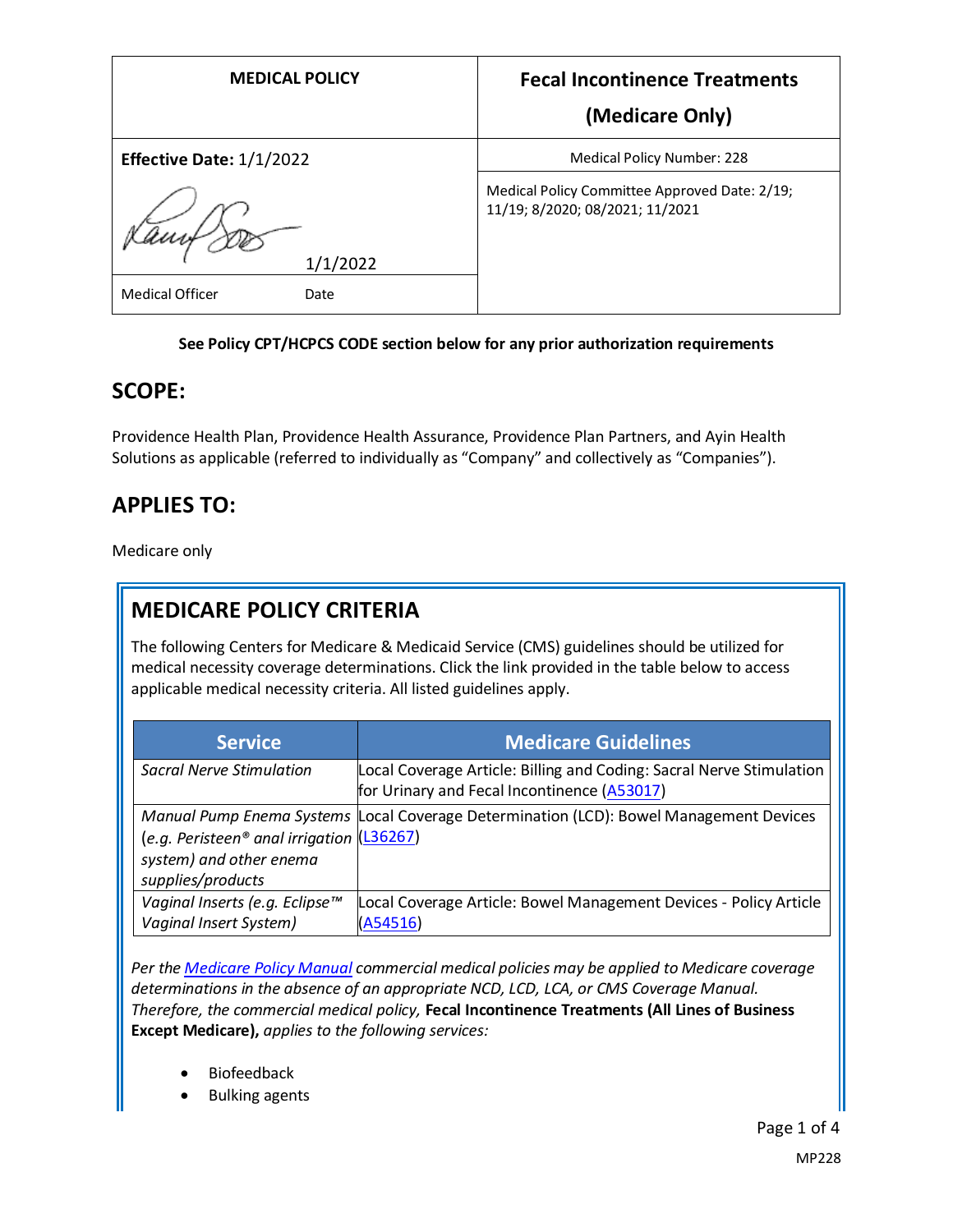| <b>MEDICAL POLICY</b>          | <b>Fecal Incontinence Treatments</b>                                             |
|--------------------------------|----------------------------------------------------------------------------------|
|                                | (Medicare Only)                                                                  |
| Effective Date: 1/1/2022       | <b>Medical Policy Number: 228</b>                                                |
|                                | Medical Policy Committee Approved Date: 2/19;<br>11/19; 8/2020; 08/2021; 11/2021 |
| 1/1/2022                       |                                                                                  |
| <b>Medical Officer</b><br>Date |                                                                                  |

#### **See Policy CPT/HCPCS CODE section below for any prior authorization requirements**

### **SCOPE:**

Providence Health Plan, Providence Health Assurance, Providence Plan Partners, and Ayin Health Solutions as applicable (referred to individually as "Company" and collectively as "Companies").

## **APPLIES TO:**

Medicare only

# **MEDICARE POLICY CRITERIA**

The following Centers for Medicare & Medicaid Service (CMS) guidelines should be utilized for medical necessity coverage determinations. Click the link provided in the table below to access applicable medical necessity criteria. All listed guidelines apply.

| <b>Service</b>                                                                                          | <b>Medicare Guidelines</b>                                                                                          |
|---------------------------------------------------------------------------------------------------------|---------------------------------------------------------------------------------------------------------------------|
| Sacral Nerve Stimulation                                                                                | Local Coverage Article: Billing and Coding: Sacral Nerve Stimulation<br>for Urinary and Fecal Incontinence (A53017) |
| (e.g. Peristeen <sup>®</sup> anal irrigation $(136267)$<br>system) and other enema<br>supplies/products | Manual Pump Enema Systems Local Coverage Determination (LCD): Bowel Management Devices                              |
| Vaginal Inserts (e.g. Eclipse™<br>Vaginal Insert System)                                                | Local Coverage Article: Bowel Management Devices - Policy Article<br>(A54516)                                       |

*Per th[e Medicare Policy Manual](https://s3-us-west-2.amazonaws.com/images.provhealth.org/Providence-Images/PHP_PHA_Medical_Policy_CMS_Manual.pdf) commercial medical policies may be applied to Medicare coverage determinations in the absence of an appropriate NCD, LCD, LCA, or CMS Coverage Manual. Therefore, the commercial medical policy,* **Fecal Incontinence Treatments (All Lines of Business Except Medicare),** *applies to the following services:*

- **Biofeedback**
- Bulking agents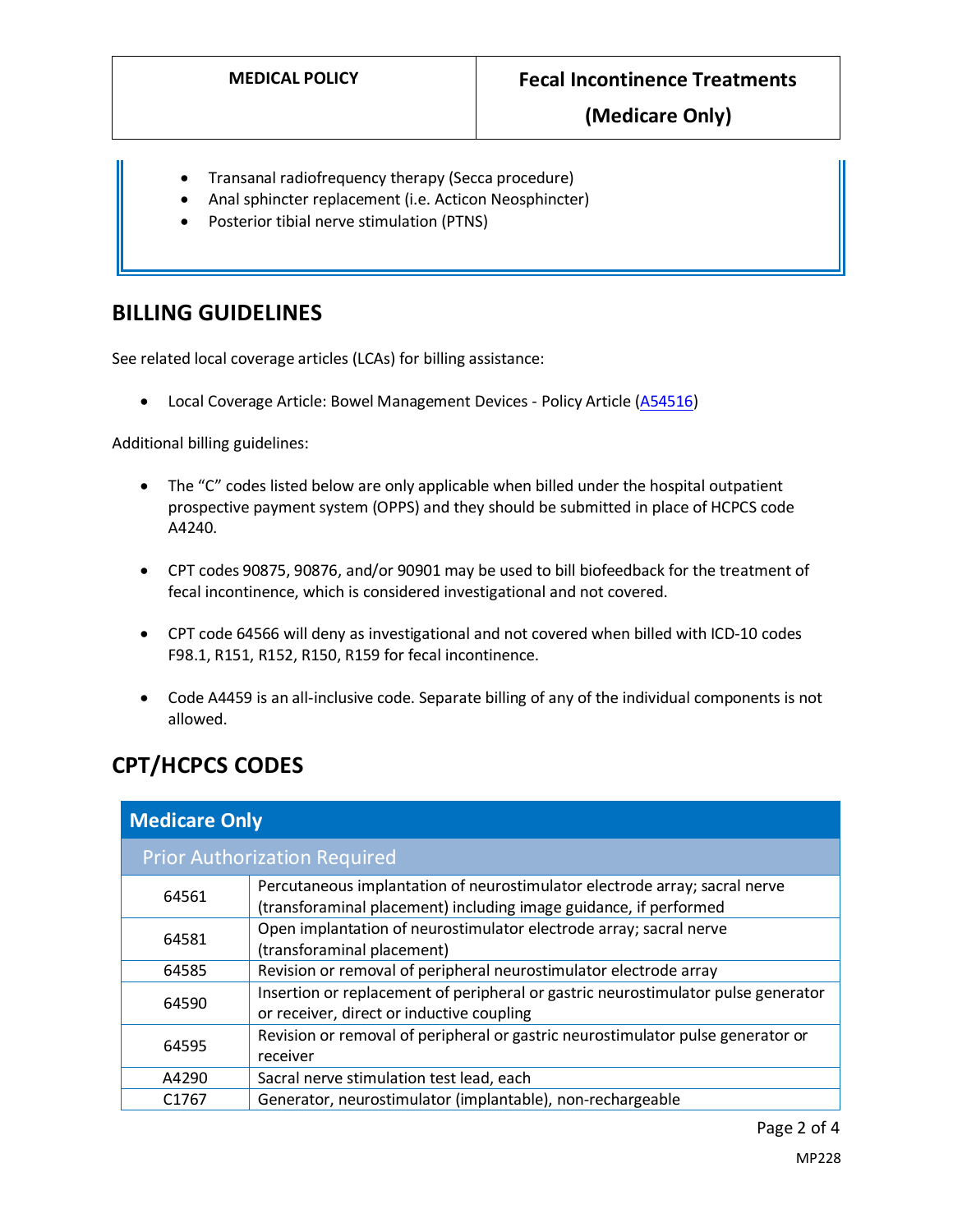- Transanal radiofrequency therapy (Secca procedure)
- Anal sphincter replacement (i.e. Acticon Neosphincter)
- Posterior tibial nerve stimulation (PTNS)

## **BILLING GUIDELINES**

See related local coverage articles (LCAs) for billing assistance:

• Local Coverage Article: Bowel Management Devices - Policy Article [\(A54516\)](https://www.cms.gov/medicare-coverage-database/details/article-details.aspx?articleId=54516)

Additional billing guidelines:

- The "C" codes listed below are only applicable when billed under the hospital outpatient prospective payment system (OPPS) and they should be submitted in place of HCPCS code A4240.
- CPT codes 90875, 90876, and/or 90901 may be used to bill biofeedback for the treatment of fecal incontinence, which is considered investigational and not covered.
- CPT code 64566 will deny as investigational and not covered when billed with ICD-10 codes F98.1, R151, R152, R150, R159 for fecal incontinence.
- Code A4459 is an all-inclusive code. Separate billing of any of the individual components is not allowed.

# **CPT/HCPCS CODES**

| <b>Medicare Only</b> |                                                                                                                                                 |
|----------------------|-------------------------------------------------------------------------------------------------------------------------------------------------|
|                      | <b>Prior Authorization Required</b>                                                                                                             |
| 64561                | Percutaneous implantation of neurostimulator electrode array; sacral nerve<br>(transforaminal placement) including image guidance, if performed |
| 64581                | Open implantation of neurostimulator electrode array; sacral nerve<br>(transforaminal placement)                                                |
| 64585                | Revision or removal of peripheral neurostimulator electrode array                                                                               |
| 64590                | Insertion or replacement of peripheral or gastric neurostimulator pulse generator<br>or receiver, direct or inductive coupling                  |
| 64595                | Revision or removal of peripheral or gastric neurostimulator pulse generator or<br>receiver                                                     |
| A4290                | Sacral nerve stimulation test lead, each                                                                                                        |
| C <sub>1767</sub>    | Generator, neurostimulator (implantable), non-rechargeable                                                                                      |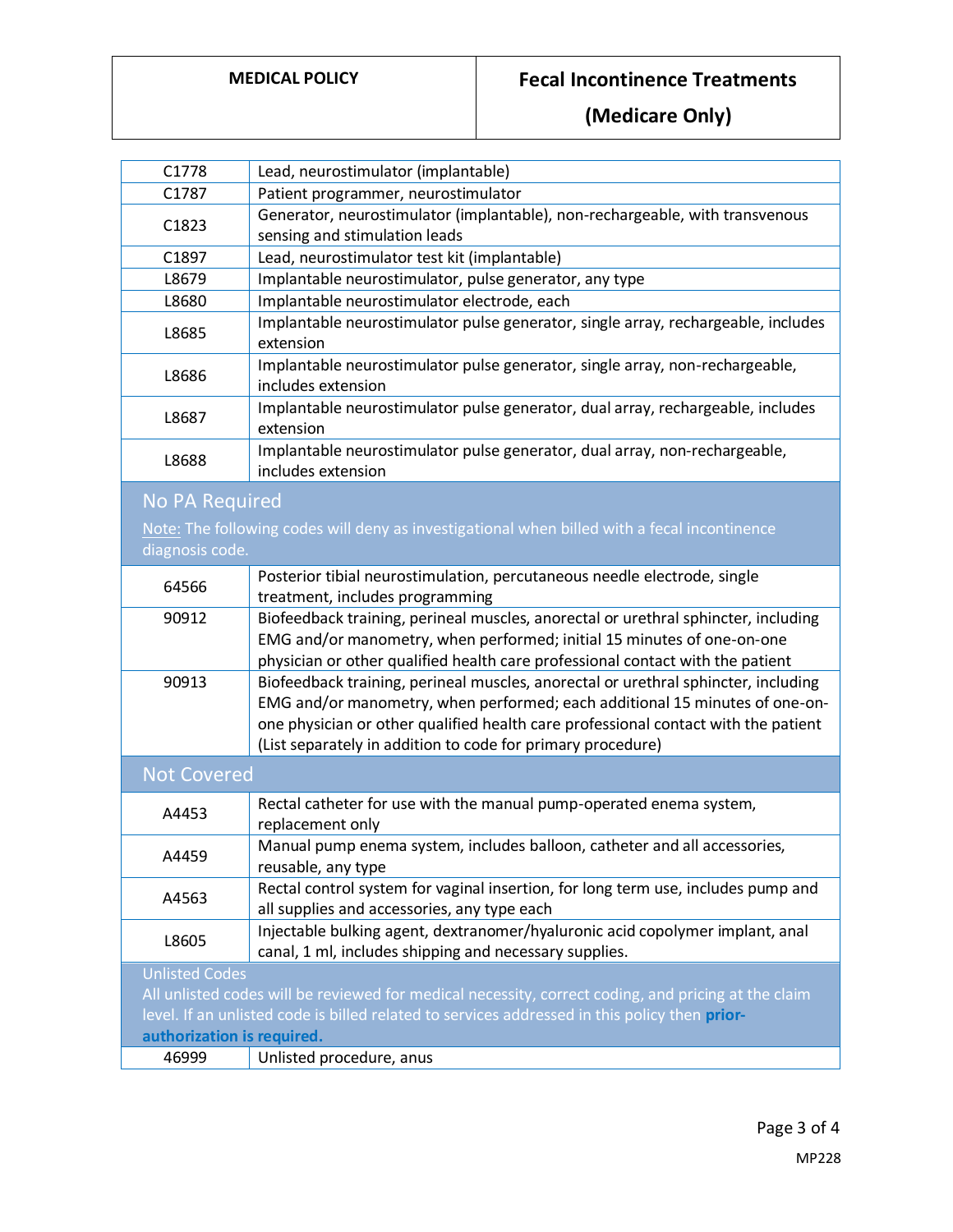## **MEDICAL POLICY Fecal Incontinence Treatments**

**(Medicare Only)**

| C1778                                                                                                                                                                                                                                                       | Lead, neurostimulator (implantable)                                                                                                                                                                                                                                                                                    |
|-------------------------------------------------------------------------------------------------------------------------------------------------------------------------------------------------------------------------------------------------------------|------------------------------------------------------------------------------------------------------------------------------------------------------------------------------------------------------------------------------------------------------------------------------------------------------------------------|
| C1787                                                                                                                                                                                                                                                       | Patient programmer, neurostimulator                                                                                                                                                                                                                                                                                    |
| C1823                                                                                                                                                                                                                                                       | Generator, neurostimulator (implantable), non-rechargeable, with transvenous<br>sensing and stimulation leads                                                                                                                                                                                                          |
| C1897                                                                                                                                                                                                                                                       | Lead, neurostimulator test kit (implantable)                                                                                                                                                                                                                                                                           |
| L8679                                                                                                                                                                                                                                                       | Implantable neurostimulator, pulse generator, any type                                                                                                                                                                                                                                                                 |
| L8680                                                                                                                                                                                                                                                       | Implantable neurostimulator electrode, each                                                                                                                                                                                                                                                                            |
| L8685                                                                                                                                                                                                                                                       | Implantable neurostimulator pulse generator, single array, rechargeable, includes<br>extension                                                                                                                                                                                                                         |
| L8686                                                                                                                                                                                                                                                       | Implantable neurostimulator pulse generator, single array, non-rechargeable,<br>includes extension                                                                                                                                                                                                                     |
| L8687                                                                                                                                                                                                                                                       | Implantable neurostimulator pulse generator, dual array, rechargeable, includes<br>extension                                                                                                                                                                                                                           |
| L8688                                                                                                                                                                                                                                                       | Implantable neurostimulator pulse generator, dual array, non-rechargeable,<br>includes extension                                                                                                                                                                                                                       |
| <b>No PA Required</b><br>diagnosis code.                                                                                                                                                                                                                    | Note: The following codes will deny as investigational when billed with a fecal incontinence                                                                                                                                                                                                                           |
| 64566                                                                                                                                                                                                                                                       | Posterior tibial neurostimulation, percutaneous needle electrode, single<br>treatment, includes programming                                                                                                                                                                                                            |
| 90912                                                                                                                                                                                                                                                       | Biofeedback training, perineal muscles, anorectal or urethral sphincter, including<br>EMG and/or manometry, when performed; initial 15 minutes of one-on-one<br>physician or other qualified health care professional contact with the patient                                                                         |
| 90913                                                                                                                                                                                                                                                       | Biofeedback training, perineal muscles, anorectal or urethral sphincter, including<br>EMG and/or manometry, when performed; each additional 15 minutes of one-on-<br>one physician or other qualified health care professional contact with the patient<br>(List separately in addition to code for primary procedure) |
| <b>Not Covered</b>                                                                                                                                                                                                                                          |                                                                                                                                                                                                                                                                                                                        |
| A4453                                                                                                                                                                                                                                                       | Rectal catheter for use with the manual pump-operated enema system,<br>replacement only                                                                                                                                                                                                                                |
| A4459                                                                                                                                                                                                                                                       | Manual pump enema system, includes balloon, catheter and all accessories,<br>reusable, any type                                                                                                                                                                                                                        |
| A4563                                                                                                                                                                                                                                                       | Rectal control system for vaginal insertion, for long term use, includes pump and<br>all supplies and accessories, any type each                                                                                                                                                                                       |
| L8605                                                                                                                                                                                                                                                       | Injectable bulking agent, dextranomer/hyaluronic acid copolymer implant, anal<br>canal, 1 ml, includes shipping and necessary supplies.                                                                                                                                                                                |
| <b>Unlisted Codes</b><br>All unlisted codes will be reviewed for medical necessity, correct coding, and pricing at the claim<br>level. If an unlisted code is billed related to services addressed in this policy then prior-<br>authorization is required. |                                                                                                                                                                                                                                                                                                                        |
| 46999                                                                                                                                                                                                                                                       | Unlisted procedure, anus                                                                                                                                                                                                                                                                                               |